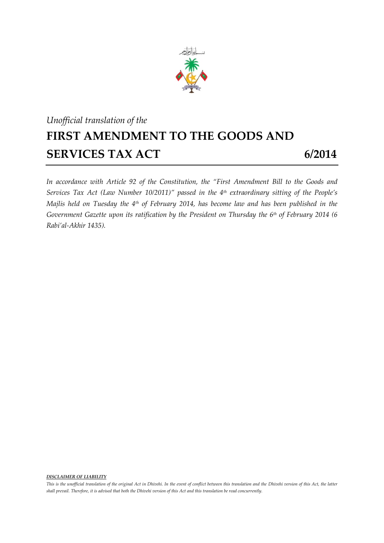

## *Unofficial translation of the* **FIRST AMENDMENT TO THE GOODS AND SERVICES TAX ACT** 6/2014

*In accordance with Article 92 of the Constitution, the "First Amendment Bill to the Goods and Services Tax Act (Law Number 10/2011)" passed in the 4 th extraordinary sitting of the People's Majlis held on Tuesday the 4 th of February 2014, has become law and has been published in the Government Gazette upon its ratification by the President on Thursday the 6 th of February 2014 (6 Rabi'al-Akhir 1435).*

*DISCLAIMER OF LIABILITY*

*This is the unofficial translation of the original Act in Dhivehi. In the event of conflict between this translation and the Dhivehi version of this Act, the latter shall prevail. Therefore, it is advised that both the Dhivehi version of this Act and this translation be read concurrently.*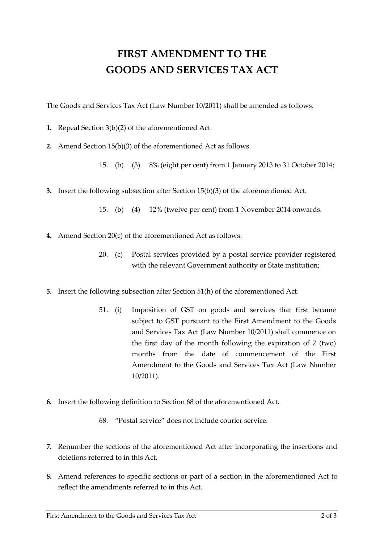## **FIRST AMENDMENT TO THE GOODS AND SERVICES TAX ACT**

The Goods and Services Tax Act (Law Number 10/2011) shall be amended as follows.

- **1.** Repeal Section 3(b)(2) of the aforementioned Act.
- **2.** Amend Section 15(b)(3) of the aforementioned Act as follows.
	- 15. (b) (3) 8% (eight per cent) from 1 January 2013 to 31 October 2014;
- **3.** Insert the following subsection after Section 15(b)(3) of the aforementioned Act.
	- 15. (b) (4) 12% (twelve per cent) from 1 November 2014 onwards.
- **4.** Amend Section 20(c) of the aforementioned Act as follows.
	- 20. (c) Postal services provided by a postal service provider registered with the relevant Government authority or State institution;
- **5.** Insert the following subsection after Section 51(h) of the aforementioned Act.
	- 51. (i) Imposition of GST on goods and services that first became subject to GST pursuant to the First Amendment to the Goods and Services Tax Act (Law Number 10/2011) shall commence on the first day of the month following the expiration of 2 (two) months from the date of commencement of the First Amendment to the Goods and Services Tax Act (Law Number 10/2011).
- **6.** Insert the following definition to Section 68 of the aforementioned Act.
	- 68. "Postal service" does not include courier service.
- **7.** Renumber the sections of the aforementioned Act after incorporating the insertions and deletions referred to in this Act.
- **8.** Amend references to specific sections or part of a section in the aforementioned Act to reflect the amendments referred to in this Act.